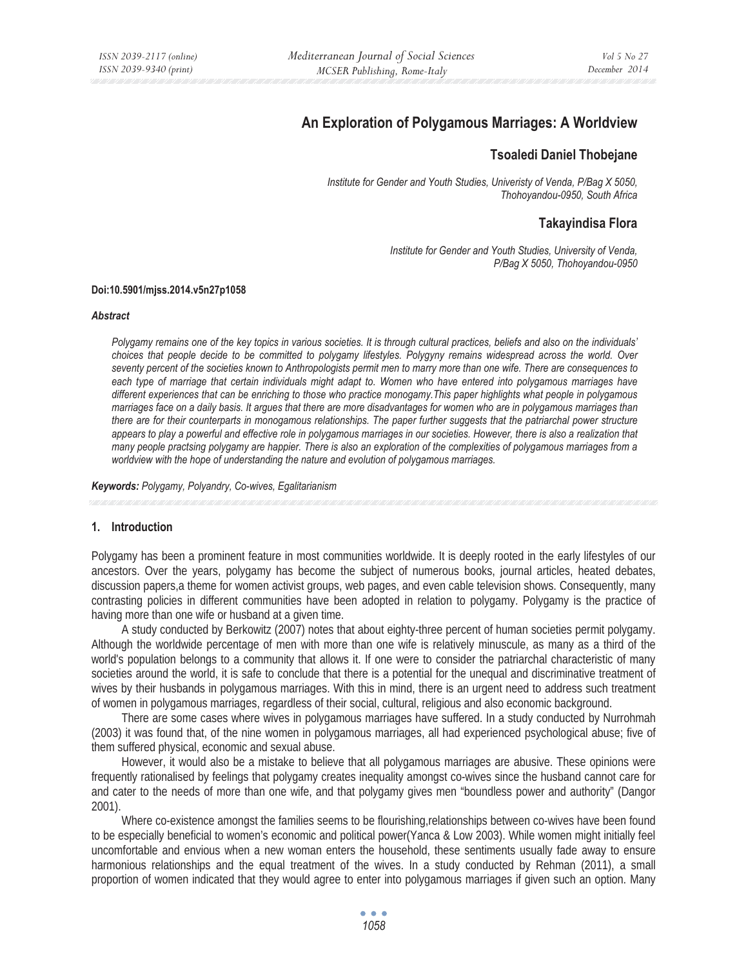# **An Exploration of Polygamous Marriages: A Worldview**

## **Tsoaledi Daniel Thobejane**

*Institute for Gender and Youth Studies, Univeristy of Venda, P/Bag X 5050, Thohoyandou-0950, South Africa* 

## **Takayindisa Flora**

*Institute for Gender and Youth Studies, University of Venda, P/Bag X 5050, Thohoyandou-0950* 

#### **Doi:10.5901/mjss.2014.v5n27p1058**

#### *Abstract*

*Polygamy remains one of the key topics in various societies. It is through cultural practices, beliefs and also on the individuals' choices that people decide to be committed to polygamy lifestyles. Polygyny remains widespread across the world. Over seventy percent of the societies known to Anthropologists permit men to marry more than one wife. There are consequences to*  each type of marriage that certain individuals might adapt to. Women who have entered into polygamous marriages have *different experiences that can be enriching to those who practice monogamy.This paper highlights what people in polygamous marriages face on a daily basis. It argues that there are more disadvantages for women who are in polygamous marriages than there are for their counterparts in monogamous relationships. The paper further suggests that the patriarchal power structure*  appears to play a powerful and effective role in polygamous marriages in our societies. However, there is also a realization that *many people practsing polygamy are happier. There is also an exploration of the complexities of polygamous marriages from a worldview with the hope of understanding the nature and evolution of polygamous marriages.* 

*Keywords: Polygamy, Polyandry, Co-wives, Egalitarianism*

#### **1. Introduction**

Polygamy has been a prominent feature in most communities worldwide. It is deeply rooted in the early lifestyles of our ancestors. Over the years, polygamy has become the subject of numerous books, journal articles, heated debates, discussion papers,a theme for women activist groups, web pages, and even cable television shows. Consequently, many contrasting policies in different communities have been adopted in relation to polygamy. Polygamy is the practice of having more than one wife or husband at a given time.

A study conducted by Berkowitz (2007) notes that about eighty-three percent of human societies permit polygamy. Although the worldwide percentage of men with more than one wife is relatively minuscule, as many as a third of the world's population belongs to a community that allows it. If one were to consider the patriarchal characteristic of many societies around the world, it is safe to conclude that there is a potential for the unequal and discriminative treatment of wives by their husbands in polygamous marriages. With this in mind, there is an urgent need to address such treatment of women in polygamous marriages, regardless of their social, cultural, religious and also economic background.

There are some cases where wives in polygamous marriages have suffered. In a study conducted by Nurrohmah (2003) it was found that, of the nine women in polygamous marriages, all had experienced psychological abuse; five of them suffered physical, economic and sexual abuse.

However, it would also be a mistake to believe that all polygamous marriages are abusive. These opinions were frequently rationalised by feelings that polygamy creates inequality amongst co-wives since the husband cannot care for and cater to the needs of more than one wife, and that polygamy gives men "boundless power and authority" (Dangor 2001).

Where co-existence amongst the families seems to be flourishing,relationships between co-wives have been found to be especially beneficial to women's economic and political power(Yanca & Low 2003). While women might initially feel uncomfortable and envious when a new woman enters the household, these sentiments usually fade away to ensure harmonious relationships and the equal treatment of the wives. In a study conducted by Rehman (2011), a small proportion of women indicated that they would agree to enter into polygamous marriages if given such an option. Many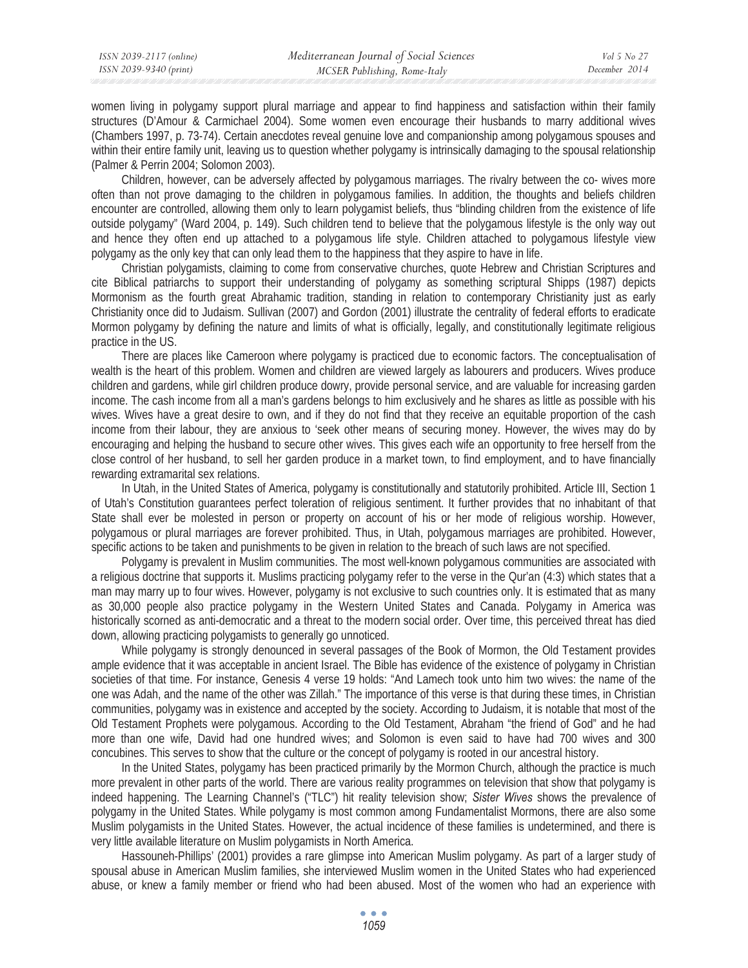women living in polygamy support plural marriage and appear to find happiness and satisfaction within their family structures (D'Amour & Carmichael 2004). Some women even encourage their husbands to marry additional wives (Chambers 1997, p. 73-74). Certain anecdotes reveal genuine love and companionship among polygamous spouses and within their entire family unit, leaving us to question whether polygamy is intrinsically damaging to the spousal relationship (Palmer & Perrin 2004; Solomon 2003).

Children, however, can be adversely affected by polygamous marriages. The rivalry between the co- wives more often than not prove damaging to the children in polygamous families. In addition, the thoughts and beliefs children encounter are controlled, allowing them only to learn polygamist beliefs, thus "blinding children from the existence of life outside polygamy" (Ward 2004, p. 149). Such children tend to believe that the polygamous lifestyle is the only way out and hence they often end up attached to a polygamous life style. Children attached to polygamous lifestyle view polygamy as the only key that can only lead them to the happiness that they aspire to have in life.

Christian polygamists, claiming to come from conservative churches, quote Hebrew and Christian Scriptures and cite Biblical patriarchs to support their understanding of polygamy as something scriptural Shipps (1987) depicts Mormonism as the fourth great Abrahamic tradition, standing in relation to contemporary Christianity just as early Christianity once did to Judaism. Sullivan (2007) and Gordon (2001) illustrate the centrality of federal efforts to eradicate Mormon polygamy by defining the nature and limits of what is officially, legally, and constitutionally legitimate religious practice in the US.

There are places like Cameroon where polygamy is practiced due to economic factors. The conceptualisation of wealth is the heart of this problem. Women and children are viewed largely as labourers and producers. Wives produce children and gardens, while girl children produce dowry, provide personal service, and are valuable for increasing garden income. The cash income from all a man's gardens belongs to him exclusively and he shares as little as possible with his wives. Wives have a great desire to own, and if they do not find that they receive an equitable proportion of the cash income from their labour, they are anxious to 'seek other means of securing money. However, the wives may do by encouraging and helping the husband to secure other wives. This gives each wife an opportunity to free herself from the close control of her husband, to sell her garden produce in a market town, to find employment, and to have financially rewarding extramarital sex relations.

In Utah, in the United States of America, polygamy is constitutionally and statutorily prohibited. Article III, Section 1 of Utah's Constitution guarantees perfect toleration of religious sentiment. It further provides that no inhabitant of that State shall ever be molested in person or property on account of his or her mode of religious worship. However, polygamous or plural marriages are forever prohibited. Thus, in Utah, polygamous marriages are prohibited. However, specific actions to be taken and punishments to be given in relation to the breach of such laws are not specified.

Polygamy is prevalent in Muslim communities. The most well-known polygamous communities are associated with a religious doctrine that supports it. Muslims practicing polygamy refer to the verse in the Qur'an (4:3) which states that a man may marry up to four wives. However, polygamy is not exclusive to such countries only. It is estimated that as many as 30,000 people also practice polygamy in the Western United States and Canada. Polygamy in America was historically scorned as anti-democratic and a threat to the modern social order. Over time, this perceived threat has died down, allowing practicing polygamists to generally go unnoticed.

While polygamy is strongly denounced in several passages of the Book of Mormon, the Old Testament provides ample evidence that it was acceptable in ancient Israel. The Bible has evidence of the existence of polygamy in Christian societies of that time. For instance, Genesis 4 verse 19 holds: "And Lamech took unto him two wives: the name of the one was Adah, and the name of the other was Zillah." The importance of this verse is that during these times, in Christian communities, polygamy was in existence and accepted by the society. According to Judaism, it is notable that most of the Old Testament Prophets were polygamous. According to the Old Testament, Abraham "the friend of God" and he had more than one wife, David had one hundred wives; and Solomon is even said to have had 700 wives and 300 concubines. This serves to show that the culture or the concept of polygamy is rooted in our ancestral history.

In the United States, polygamy has been practiced primarily by the Mormon Church, although the practice is much more prevalent in other parts of the world. There are various reality programmes on television that show that polygamy is indeed happening. The Learning Channel's ("TLC") hit reality television show; *Sister Wives* shows the prevalence of polygamy in the United States. While polygamy is most common among Fundamentalist Mormons, there are also some Muslim polygamists in the United States. However, the actual incidence of these families is undetermined, and there is very little available literature on Muslim polygamists in North America.

Hassouneh-Phillips' (2001) provides a rare glimpse into American Muslim polygamy. As part of a larger study of spousal abuse in American Muslim families, she interviewed Muslim women in the United States who had experienced abuse, or knew a family member or friend who had been abused. Most of the women who had an experience with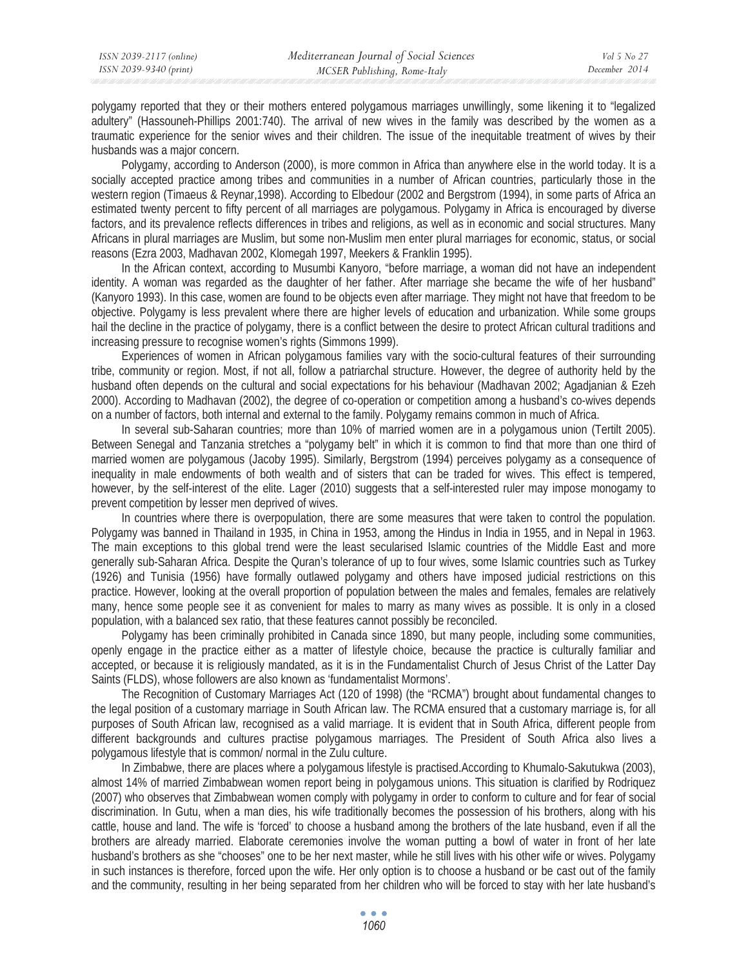polygamy reported that they or their mothers entered polygamous marriages unwillingly, some likening it to "legalized adultery" (Hassouneh-Phillips 2001:740). The arrival of new wives in the family was described by the women as a traumatic experience for the senior wives and their children. The issue of the inequitable treatment of wives by their husbands was a major concern.

Polygamy, according to Anderson (2000), is more common in Africa than anywhere else in the world today. It is a socially accepted practice among tribes and communities in a number of African countries, particularly those in the western region (Timaeus & Reynar,1998). According to Elbedour (2002 and Bergstrom (1994), in some parts of Africa an estimated twenty percent to fifty percent of all marriages are polygamous. Polygamy in Africa is encouraged by diverse factors, and its prevalence reflects differences in tribes and religions, as well as in economic and social structures. Many Africans in plural marriages are Muslim, but some non-Muslim men enter plural marriages for economic, status, or social reasons (Ezra 2003, Madhavan 2002, Klomegah 1997, Meekers & Franklin 1995).

In the African context, according to Musumbi Kanyoro, "before marriage, a woman did not have an independent identity. A woman was regarded as the daughter of her father. After marriage she became the wife of her husband" (Kanyoro 1993). In this case, women are found to be objects even after marriage. They might not have that freedom to be objective. Polygamy is less prevalent where there are higher levels of education and urbanization. While some groups hail the decline in the practice of polygamy, there is a conflict between the desire to protect African cultural traditions and increasing pressure to recognise women's rights (Simmons 1999).

Experiences of women in African polygamous families vary with the socio-cultural features of their surrounding tribe, community or region. Most, if not all, follow a patriarchal structure. However, the degree of authority held by the husband often depends on the cultural and social expectations for his behaviour (Madhavan 2002; Agadjanian & Ezeh 2000). According to Madhavan (2002), the degree of co-operation or competition among a husband's co-wives depends on a number of factors, both internal and external to the family. Polygamy remains common in much of Africa.

In several sub-Saharan countries; more than 10% of married women are in a polygamous union (Tertilt 2005). Between Senegal and Tanzania stretches a "polygamy belt" in which it is common to find that more than one third of married women are polygamous (Jacoby 1995). Similarly, Bergstrom (1994) perceives polygamy as a consequence of inequality in male endowments of both wealth and of sisters that can be traded for wives. This effect is tempered, however, by the self-interest of the elite. Lager (2010) suggests that a self-interested ruler may impose monogamy to prevent competition by lesser men deprived of wives.

In countries where there is overpopulation, there are some measures that were taken to control the population. Polygamy was banned in Thailand in 1935, in China in 1953, among the Hindus in India in 1955, and in Nepal in 1963. The main exceptions to this global trend were the least secularised Islamic countries of the Middle East and more generally sub-Saharan Africa. Despite the Quran's tolerance of up to four wives, some Islamic countries such as Turkey (1926) and Tunisia (1956) have formally outlawed polygamy and others have imposed judicial restrictions on this practice. However, looking at the overall proportion of population between the males and females, females are relatively many, hence some people see it as convenient for males to marry as many wives as possible. It is only in a closed population, with a balanced sex ratio, that these features cannot possibly be reconciled.

Polygamy has been criminally prohibited in Canada since 1890, but many people, including some communities, openly engage in the practice either as a matter of lifestyle choice, because the practice is culturally familiar and accepted, or because it is religiously mandated, as it is in the Fundamentalist Church of Jesus Christ of the Latter Day Saints (FLDS), whose followers are also known as 'fundamentalist Mormons'.

The Recognition of Customary Marriages Act (120 of 1998) (the "RCMA") brought about fundamental changes to the legal position of a customary marriage in South African law. The RCMA ensured that a customary marriage is, for all purposes of South African law, recognised as a valid marriage. It is evident that in South Africa, different people from different backgrounds and cultures practise polygamous marriages. The President of South Africa also lives a polygamous lifestyle that is common/ normal in the Zulu culture.

In Zimbabwe, there are places where a polygamous lifestyle is practised.According to Khumalo-Sakutukwa (2003), almost 14% of married Zimbabwean women report being in polygamous unions. This situation is clarified by Rodriquez (2007) who observes that Zimbabwean women comply with polygamy in order to conform to culture and for fear of social discrimination. In Gutu, when a man dies, his wife traditionally becomes the possession of his brothers, along with his cattle, house and land. The wife is 'forced' to choose a husband among the brothers of the late husband, even if all the brothers are already married. Elaborate ceremonies involve the woman putting a bowl of water in front of her late husband's brothers as she "chooses" one to be her next master, while he still lives with his other wife or wives. Polygamy in such instances is therefore, forced upon the wife. Her only option is to choose a husband or be cast out of the family and the community, resulting in her being separated from her children who will be forced to stay with her late husband's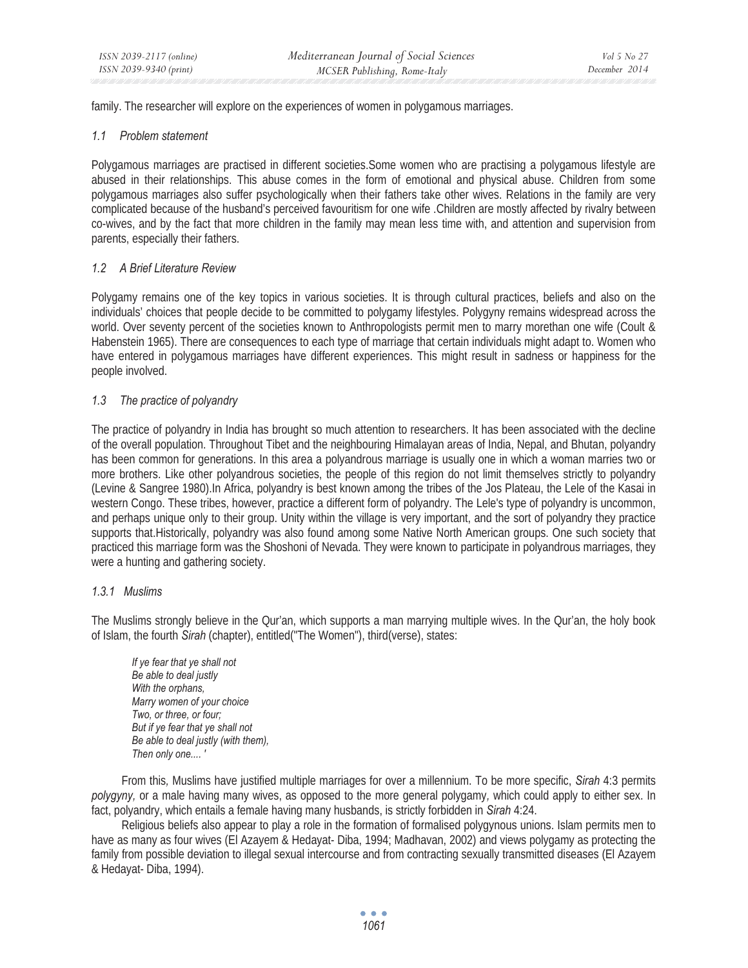family. The researcher will explore on the experiences of women in polygamous marriages.

#### *1.1 Problem statement*

Polygamous marriages are practised in different societies.Some women who are practising a polygamous lifestyle are abused in their relationships. This abuse comes in the form of emotional and physical abuse. Children from some polygamous marriages also suffer psychologically when their fathers take other wives. Relations in the family are very complicated because of the husband's perceived favouritism for one wife .Children are mostly affected by rivalry between co-wives, and by the fact that more children in the family may mean less time with, and attention and supervision from parents, especially their fathers.

### *1.2 A Brief Literature Review*

Polygamy remains one of the key topics in various societies. It is through cultural practices, beliefs and also on the individuals' choices that people decide to be committed to polygamy lifestyles. Polygyny remains widespread across the world. Over seventy percent of the societies known to Anthropologists permit men to marry morethan one wife (Coult & Habenstein 1965). There are consequences to each type of marriage that certain individuals might adapt to. Women who have entered in polygamous marriages have different experiences. This might result in sadness or happiness for the people involved.

### *1.3 The practice of polyandry*

The practice of polyandry in India has brought so much attention to researchers. It has been associated with the decline of the overall population. Throughout Tibet and the neighbouring Himalayan areas of India, Nepal, and Bhutan, polyandry has been common for generations. In this area a polyandrous marriage is usually one in which a woman marries two or more brothers. Like other polyandrous societies, the people of this region do not limit themselves strictly to polyandry (Levine & Sangree 1980).In Africa, polyandry is best known among the tribes of the Jos Plateau, the Lele of the Kasai in western Congo. These tribes, however, practice a different form of polyandry. The Lele's type of polyandry is uncommon, and perhaps unique only to their group. Unity within the village is very important, and the sort of polyandry they practice supports that.Historically, polyandry was also found among some Native North American groups. One such society that practiced this marriage form was the Shoshoni of Nevada. They were known to participate in polyandrous marriages, they were a hunting and gathering society.

### *1.3.1 Muslims*

The Muslims strongly believe in the Qur'an, which supports a man marrying multiple wives. In the Qur'an, the holy book of Islam, the fourth *Sirah* (chapter), entitled("The Women"), third(verse), states:

*If ye fear that ye shall not Be able to deal justly With the orphans, Marry women of your choice Two, or three, or four; But if ye fear that ye shall not Be able to deal justly (with them), Then only one.... '* 

From this*,* Muslims have justified multiple marriages for over a millennium. To be more specific, *Sirah* 4:3 permits *polygyny,* or a male having many wives, as opposed to the more general polygamy*,* which could apply to either sex. In fact, polyandry, which entails a female having many husbands, is strictly forbidden in *Sirah* 4:24.

Religious beliefs also appear to play a role in the formation of formalised polygynous unions. Islam permits men to have as many as four wives (El Azayem & Hedayat- Diba, 1994; Madhavan, 2002) and views polygamy as protecting the family from possible deviation to illegal sexual intercourse and from contracting sexually transmitted diseases (El Azayem & Hedayat- Diba, 1994).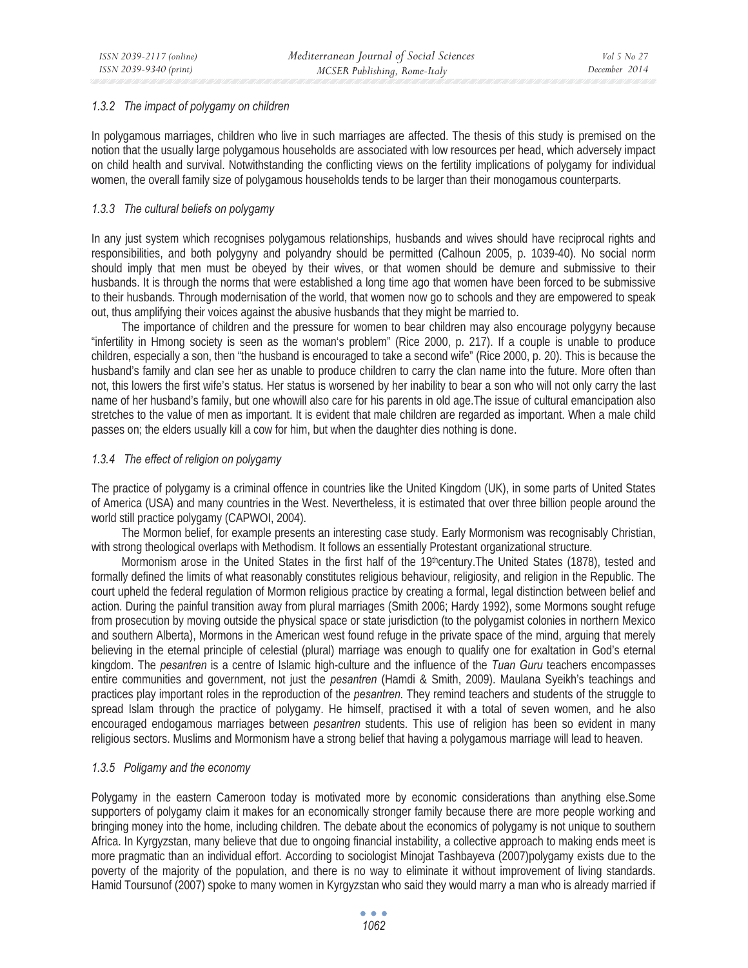### *1.3.2 The impact of polygamy on children*

In polygamous marriages, children who live in such marriages are affected. The thesis of this study is premised on the notion that the usually large polygamous households are associated with low resources per head, which adversely impact on child health and survival. Notwithstanding the conflicting views on the fertility implications of polygamy for individual women, the overall family size of polygamous households tends to be larger than their monogamous counterparts.

### *1.3.3 The cultural beliefs on polygamy*

In any just system which recognises polygamous relationships, husbands and wives should have reciprocal rights and responsibilities, and both polygyny and polyandry should be permitted (Calhoun 2005, p. 1039-40). No social norm should imply that men must be obeyed by their wives, or that women should be demure and submissive to their husbands. It is through the norms that were established a long time ago that women have been forced to be submissive to their husbands. Through modernisation of the world, that women now go to schools and they are empowered to speak out, thus amplifying their voices against the abusive husbands that they might be married to.

The importance of children and the pressure for women to bear children may also encourage polygyny because "infertility in Hmong society is seen as the woman's problem" (Rice 2000, p. 217). If a couple is unable to produce children, especially a son, then "the husband is encouraged to take a second wife" (Rice 2000, p. 20). This is because the husband's family and clan see her as unable to produce children to carry the clan name into the future. More often than not, this lowers the first wife's status. Her status is worsened by her inability to bear a son who will not only carry the last name of her husband's family, but one whowill also care for his parents in old age.The issue of cultural emancipation also stretches to the value of men as important. It is evident that male children are regarded as important. When a male child passes on; the elders usually kill a cow for him, but when the daughter dies nothing is done.

### *1.3.4 The effect of religion on polygamy*

The practice of polygamy is a criminal offence in countries like the United Kingdom (UK), in some parts of United States of America (USA) and many countries in the West. Nevertheless, it is estimated that over three billion people around the world still practice polygamy (CAPWOI, 2004).

The Mormon belief, for example presents an interesting case study. Early Mormonism was recognisably Christian, with strong theological overlaps with Methodism. It follows an essentially Protestant organizational structure.

Mormonism arose in the United States in the first half of the 19<sup>th</sup>century.The United States (1878), tested and formally defined the limits of what reasonably constitutes religious behaviour, religiosity, and religion in the Republic. The court upheld the federal regulation of Mormon religious practice by creating a formal, legal distinction between belief and action. During the painful transition away from plural marriages (Smith 2006; Hardy 1992), some Mormons sought refuge from prosecution by moving outside the physical space or state jurisdiction (to the polygamist colonies in northern Mexico and southern Alberta), Mormons in the American west found refuge in the private space of the mind, arguing that merely believing in the eternal principle of celestial (plural) marriage was enough to qualify one for exaltation in God's eternal kingdom. The *pesantren* is a centre of Islamic high-culture and the influence of the *Tuan Guru* teachers encompasses entire communities and government, not just the *pesantren* (Hamdi & Smith, 2009). Maulana Syeikh's teachings and practices play important roles in the reproduction of the *pesantren.* They remind teachers and students of the struggle to spread Islam through the practice of polygamy. He himself, practised it with a total of seven women, and he also encouraged endogamous marriages between *pesantren* students. This use of religion has been so evident in many religious sectors. Muslims and Mormonism have a strong belief that having a polygamous marriage will lead to heaven.

### *1.3.5 Poligamy and the economy*

Polygamy in the eastern Cameroon today is motivated more by economic considerations than anything else.Some supporters of polygamy claim it makes for an economically stronger family because there are more people working and bringing money into the home, including children. The debate about the economics of polygamy is not unique to southern Africa. In Kyrgyzstan, many believe that due to ongoing financial instability, a collective approach to making ends meet is more pragmatic than an individual effort. According to sociologist Minojat Tashbayeva (2007)polygamy exists due to the poverty of the majority of the population, and there is no way to eliminate it without improvement of living standards. Hamid Toursunof (2007) spoke to many women in Kyrgyzstan who said they would marry a man who is already married if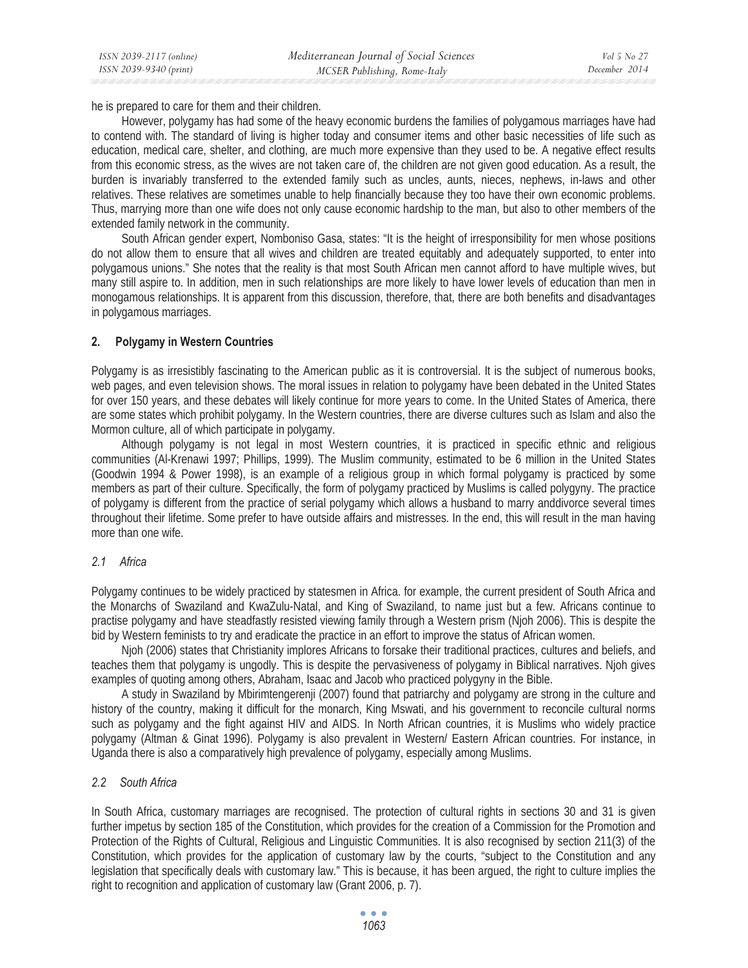he is prepared to care for them and their children.

However, polygamy has had some of the heavy economic burdens the families of polygamous marriages have had to contend with. The standard of living is higher today and consumer items and other basic necessities of life such as education, medical care, shelter, and clothing, are much more expensive than they used to be. A negative effect results from this economic stress, as the wives are not taken care of, the children are not given good education. As a result, the burden is invariably transferred to the extended family such as uncles, aunts, nieces, nephews, in-laws and other relatives. These relatives are sometimes unable to help financially because they too have their own economic problems. Thus, marrying more than one wife does not only cause economic hardship to the man, but also to other members of the extended family network in the community.

South African gender expert, Nomboniso Gasa, states: "It is the height of irresponsibility for men whose positions do not allow them to ensure that all wives and children are treated equitably and adequately supported, to enter into polygamous unions." She notes that the reality is that most South African men cannot afford to have multiple wives, but many still aspire to. In addition, men in such relationships are more likely to have lower levels of education than men in monogamous relationships. It is apparent from this discussion, therefore, that, there are both benefits and disadvantages in polygamous marriages.

### **2. Polygamy in Western Countries**

Polygamy is as irresistibly fascinating to the American public as it is controversial. It is the subject of numerous books, web pages, and even television shows. The moral issues in relation to polygamy have been debated in the United States for over 150 years, and these debates will likely continue for more years to come. In the United States of America, there are some states which prohibit polygamy. In the Western countries, there are diverse cultures such as Islam and also the Mormon culture, all of which participate in polygamy.

Although polygamy is not legal in most Western countries, it is practiced in specific ethnic and religious communities (Al-Krenawi 1997; Phillips, 1999). The Muslim community, estimated to be 6 million in the United States (Goodwin 1994 & Power 1998), is an example of a religious group in which formal polygamy is practiced by some members as part of their culture. Specifically, the form of polygamy practiced by Muslims is called polygyny. The practice of polygamy is different from the practice of serial polygamy which allows a husband to marry anddivorce several times throughout their lifetime. Some prefer to have outside affairs and mistresses. In the end, this will result in the man having more than one wife.

### *2.1 Africa*

Polygamy continues to be widely practiced by statesmen in Africa. for example, the current president of South Africa and the Monarchs of Swaziland and KwaZulu-Natal, and King of Swaziland, to name just but a few. Africans continue to practise polygamy and have steadfastly resisted viewing family through a Western prism (Njoh 2006). This is despite the bid by Western feminists to try and eradicate the practice in an effort to improve the status of African women.

Njoh (2006) states that Christianity implores Africans to forsake their traditional practices, cultures and beliefs, and teaches them that polygamy is ungodly. This is despite the pervasiveness of polygamy in Biblical narratives. Njoh gives examples of quoting among others, Abraham, Isaac and Jacob who practiced polygyny in the Bible.

A study in Swaziland by Mbirimtengerenji (2007) found that patriarchy and polygamy are strong in the culture and history of the country, making it difficult for the monarch, King Mswati, and his government to reconcile cultural norms such as polygamy and the fight against HIV and AIDS. In North African countries, it is Muslims who widely practice polygamy (Altman & Ginat 1996). Polygamy is also prevalent in Western/ Eastern African countries. For instance, in Uganda there is also a comparatively high prevalence of polygamy, especially among Muslims.

### *2.2 South Africa*

In South Africa, customary marriages are recognised. The protection of cultural rights in sections 30 and 31 is given further impetus by section 185 of the Constitution, which provides for the creation of a Commission for the Promotion and Protection of the Rights of Cultural, Religious and Linguistic Communities. It is also recognised by section 211(3) of the Constitution, which provides for the application of customary law by the courts, "subject to the Constitution and any legislation that specifically deals with customary law." This is because, it has been argued, the right to culture implies the right to recognition and application of customary law (Grant 2006, p. 7).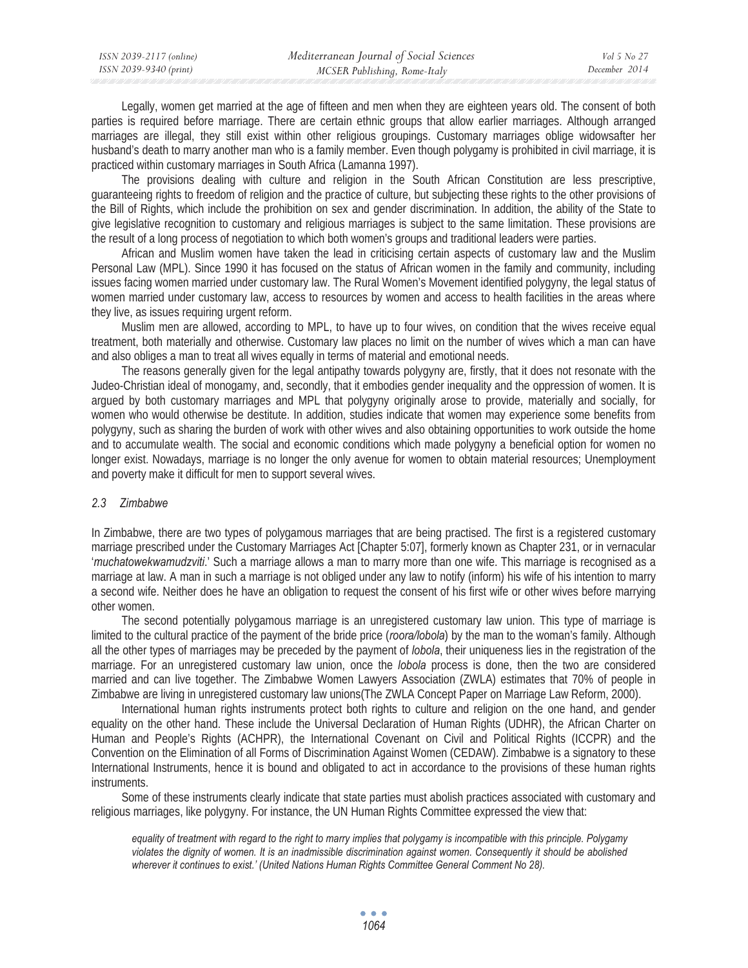| ISSN 2039-2117 (online) | Mediterranean Journal of Social Sciences | Vol 5 No 27   |
|-------------------------|------------------------------------------|---------------|
| ISSN 2039-9340 (print)  | MCSER Publishing, Rome-Italy             | December 2014 |

Legally, women get married at the age of fifteen and men when they are eighteen years old. The consent of both parties is required before marriage. There are certain ethnic groups that allow earlier marriages. Although arranged marriages are illegal, they still exist within other religious groupings. Customary marriages oblige widowsafter her husband's death to marry another man who is a family member. Even though polygamy is prohibited in civil marriage, it is practiced within customary marriages in South Africa (Lamanna 1997).

The provisions dealing with culture and religion in the South African Constitution are less prescriptive, guaranteeing rights to freedom of religion and the practice of culture, but subjecting these rights to the other provisions of the Bill of Rights, which include the prohibition on sex and gender discrimination. In addition, the ability of the State to give legislative recognition to customary and religious marriages is subject to the same limitation. These provisions are the result of a long process of negotiation to which both women's groups and traditional leaders were parties.

African and Muslim women have taken the lead in criticising certain aspects of customary law and the Muslim Personal Law (MPL). Since 1990 it has focused on the status of African women in the family and community, including issues facing women married under customary law. The Rural Women's Movement identified polygyny, the legal status of women married under customary law, access to resources by women and access to health facilities in the areas where they live, as issues requiring urgent reform.

Muslim men are allowed, according to MPL, to have up to four wives, on condition that the wives receive equal treatment, both materially and otherwise. Customary law places no limit on the number of wives which a man can have and also obliges a man to treat all wives equally in terms of material and emotional needs.

The reasons generally given for the legal antipathy towards polygyny are, firstly, that it does not resonate with the Judeo-Christian ideal of monogamy, and, secondly, that it embodies gender inequality and the oppression of women. It is argued by both customary marriages and MPL that polygyny originally arose to provide, materially and socially, for women who would otherwise be destitute. In addition, studies indicate that women may experience some benefits from polygyny, such as sharing the burden of work with other wives and also obtaining opportunities to work outside the home and to accumulate wealth. The social and economic conditions which made polygyny a beneficial option for women no longer exist. Nowadays, marriage is no longer the only avenue for women to obtain material resources; Unemployment and poverty make it difficult for men to support several wives.

### *2.3 Zimbabwe*

In Zimbabwe, there are two types of polygamous marriages that are being practised. The first is a registered customary marriage prescribed under the Customary Marriages Act [Chapter 5:07], formerly known as Chapter 231, or in vernacular '*muchatowekwamudzviti*.' Such a marriage allows a man to marry more than one wife. This marriage is recognised as a marriage at law. A man in such a marriage is not obliged under any law to notify (inform) his wife of his intention to marry a second wife. Neither does he have an obligation to request the consent of his first wife or other wives before marrying other women.

The second potentially polygamous marriage is an unregistered customary law union. This type of marriage is limited to the cultural practice of the payment of the bride price (*roora/lobola*) by the man to the woman's family. Although all the other types of marriages may be preceded by the payment of *lobola*, their uniqueness lies in the registration of the marriage. For an unregistered customary law union, once the *lobola* process is done, then the two are considered married and can live together. The Zimbabwe Women Lawyers Association (ZWLA) estimates that 70% of people in Zimbabwe are living in unregistered customary law unions(The ZWLA Concept Paper on Marriage Law Reform, 2000).

International human rights instruments protect both rights to culture and religion on the one hand, and gender equality on the other hand. These include the Universal Declaration of Human Rights (UDHR), the African Charter on Human and People's Rights (ACHPR), the International Covenant on Civil and Political Rights (ICCPR) and the Convention on the Elimination of all Forms of Discrimination Against Women (CEDAW). Zimbabwe is a signatory to these International Instruments, hence it is bound and obligated to act in accordance to the provisions of these human rights instruments.

Some of these instruments clearly indicate that state parties must abolish practices associated with customary and religious marriages, like polygyny. For instance, the UN Human Rights Committee expressed the view that:

equality of treatment with regard to the right to marry implies that polygamy is incompatible with this principle. Polygamy *violates the dignity of women. It is an inadmissible discrimination against women. Consequently it should be abolished wherever it continues to exist.' (United Nations Human Rights Committee General Comment No 28).*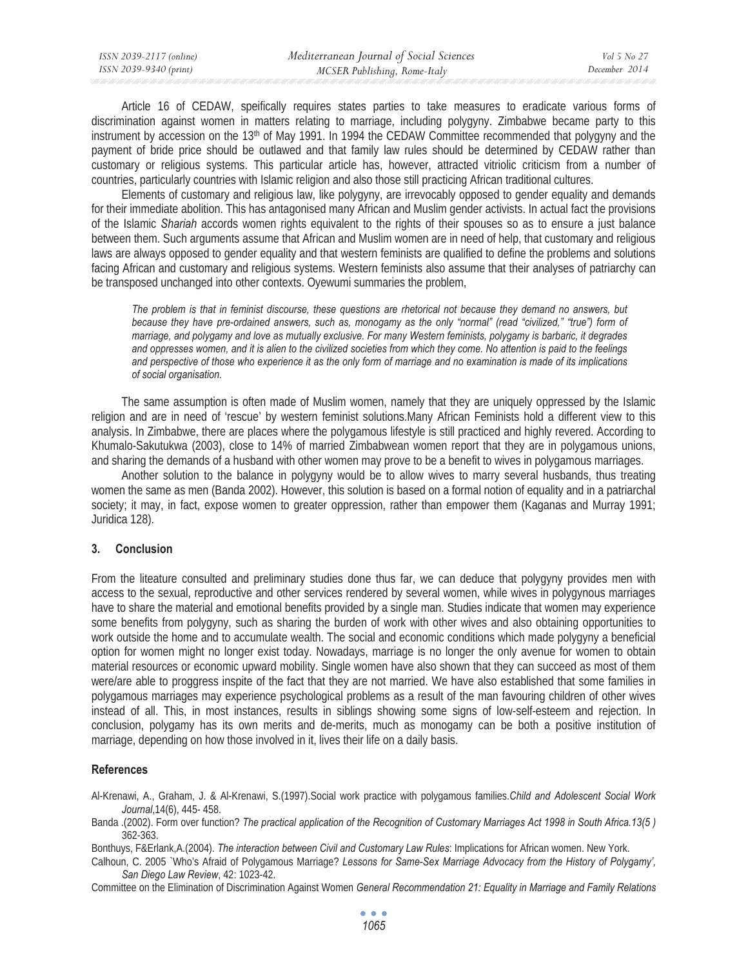Article 16 of CEDAW, speifically requires states parties to take measures to eradicate various forms of discrimination against women in matters relating to marriage, including polygyny. Zimbabwe became party to this instrument by accession on the 13th of May 1991. In 1994 the CEDAW Committee recommended that polygyny and the payment of bride price should be outlawed and that family law rules should be determined by CEDAW rather than customary or religious systems. This particular article has, however, attracted vitriolic criticism from a number of countries, particularly countries with Islamic religion and also those still practicing African traditional cultures.

Elements of customary and religious law, like polygyny, are irrevocably opposed to gender equality and demands for their immediate abolition. This has antagonised many African and Muslim gender activists. In actual fact the provisions of the Islamic *Shariah* accords women rights equivalent to the rights of their spouses so as to ensure a just balance between them. Such arguments assume that African and Muslim women are in need of help, that customary and religious laws are always opposed to gender equality and that western feminists are qualified to define the problems and solutions facing African and customary and religious systems. Western feminists also assume that their analyses of patriarchy can be transposed unchanged into other contexts. Oyewumi summaries the problem,

*The problem is that in feminist discourse, these questions are rhetorical not because they demand no answers, but because they have pre-ordained answers, such as, monogamy as the only "normal" (read "civilized," "true") form of marriage, and polygamy and love as mutually exclusive. For many Western feminists, polygamy is barbaric, it degrades and oppresses women, and it is alien to the civilized societies from which they come. No attention is paid to the feelings and perspective of those who experience it as the only form of marriage and no examination is made of its implications of social organisation.* 

The same assumption is often made of Muslim women, namely that they are uniquely oppressed by the Islamic religion and are in need of 'rescue' by western feminist solutions.Many African Feminists hold a different view to this analysis. In Zimbabwe, there are places where the polygamous lifestyle is still practiced and highly revered. According to Khumalo-Sakutukwa (2003), close to 14% of married Zimbabwean women report that they are in polygamous unions, and sharing the demands of a husband with other women may prove to be a benefit to wives in polygamous marriages.

Another solution to the balance in polygyny would be to allow wives to marry several husbands, thus treating women the same as men (Banda 2002). However, this solution is based on a formal notion of equality and in a patriarchal society; it may, in fact, expose women to greater oppression, rather than empower them (Kaganas and Murray 1991; Juridica 128).

### **3. Conclusion**

From the liteature consulted and preliminary studies done thus far, we can deduce that polygyny provides men with access to the sexual, reproductive and other services rendered by several women, while wives in polygynous marriages have to share the material and emotional benefits provided by a single man. Studies indicate that women may experience some benefits from polygyny, such as sharing the burden of work with other wives and also obtaining opportunities to work outside the home and to accumulate wealth. The social and economic conditions which made polygyny a beneficial option for women might no longer exist today. Nowadays, marriage is no longer the only avenue for women to obtain material resources or economic upward mobility. Single women have also shown that they can succeed as most of them were/are able to proggress inspite of the fact that they are not married. We have also established that some families in polygamous marriages may experience psychological problems as a result of the man favouring children of other wives instead of all. This, in most instances, results in siblings showing some signs of low-self-esteem and rejection. In conclusion, polygamy has its own merits and de-merits, much as monogamy can be both a positive institution of marriage, depending on how those involved in it, lives their life on a daily basis.

## **References**

Al-Krenawi, A., Graham, J. & Al-Krenawi, S.(1997).Social work practice with polygamous families.*Child and Adolescent Social Work Journal*,14(6), 445- 458.

Banda .(2002). Form over function? *The practical application of the Recognition of Customary Marriages Act 1998 in South Africa.13(5 )* 362-363.

Bonthuys, F&Erlank,A.(2004). *The interaction between Civil and Customary Law Rules*: Implications for African women. New York.

Calhoun, C. 2005 `Who's Afraid of Polygamous Marriage? *Lessons for Same-Sex Marriage Advocacy from the History of Polygamy', San Diego Law Review*, 42: 1023-42.

Committee on the Elimination of Discrimination Against Women *General Recommendation 21: Equality in Marriage and Family Relations*